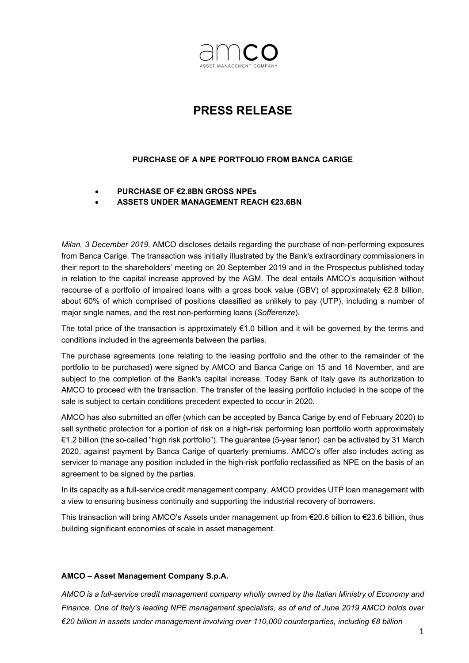

## PRESS RELEASE

## PURCHASE OF A NPE PORTFOLIO FROM BANCA CARIGE

- PURCHASE OF €2.8BN GROSS NPEs
- ASSETS UNDER MANAGEMENT REACH €23.6BN

Milan, 3 December 2019. AMCO discloses details regarding the purchase of non-performing exposures from Banca Carige. The transaction was initially illustrated by the Bank's extraordinary commissioners in their report to the shareholders' meeting on 20 September 2019 and in the Prospectus published today in relation to the capital increase approved by the AGM. The deal entails AMCO's acquisition without recourse of a portfolio of impaired loans with a gross book value (GBV) of approximately €2.8 billion, about 60% of which comprised of positions classified as unlikely to pay (UTP), including a number of major single names, and the rest non-performing loans (Sofferenze).

The total price of the transaction is approximately €1.0 billion and it will be governed by the terms and conditions included in the agreements between the parties.

The purchase agreements (one relating to the leasing portfolio and the other to the remainder of the portfolio to be purchased) were signed by AMCO and Banca Carige on 15 and 16 November, and are subject to the completion of the Bank's capital increase. Today Bank of Italy gave its authorization to AMCO to proceed with the transaction. The transfer of the leasing portfolio included in the scope of the sale is subject to certain conditions precedent expected to occur in 2020.

AMCO has also submitted an offer (which can be accepted by Banca Carige by end of February 2020) to sell synthetic protection for a portion of risk on a high-risk performing loan portfolio worth approximately €1.2 billion (the so-called "high risk portfolio"). The guarantee (5-year tenor) can be activated by 31 March 2020, against payment by Banca Carige of quarterly premiums. AMCO's offer also includes acting as servicer to manage any position included in the high-risk portfolio reclassified as NPE on the basis of an agreement to be signed by the parties.

In its capacity as a full-service credit management company, AMCO provides UTP loan management with a view to ensuring business continuity and supporting the industrial recovery of borrowers.

This transaction will bring AMCO's Assets under management up from €20.6 billion to €23.6 billion, thus building significant economies of scale in asset management.

## AMCO – Asset Management Company S.p.A.

AMCO is a full-service credit management company wholly owned by the Italian Ministry of Economy and Finance. One of Italy's leading NPE management specialists, as of end of June 2019 AMCO holds over €20 billion in assets under management involving over 110,000 counterparties, including €8 billion